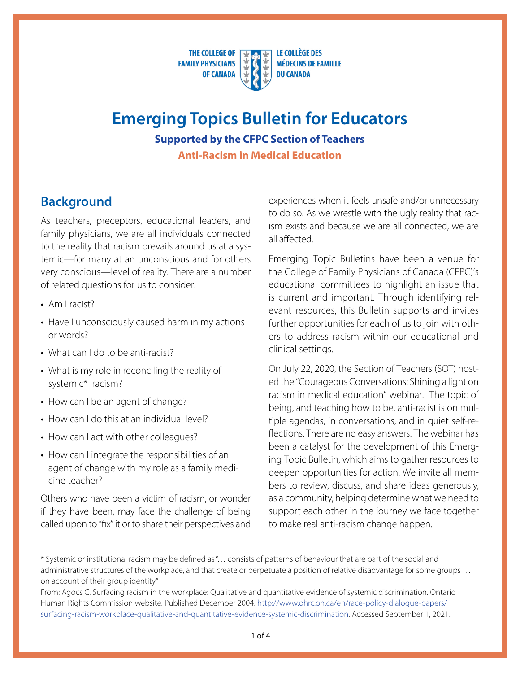**THE COLLEGE OF FAMILY PHYSICIANS OF CANADA** 

**LE COLLÈGE DES MÉDECINS DE FAMILLE DU CANADA** 

# **Emerging Topics Bulletin for Educators Supported by the CFPC Section of Teachers**

**Anti-Racism in Medical Education**

# **Background**

As teachers, preceptors, educational leaders, and family physicians, we are all individuals connected to the reality that racism prevails around us at a systemic—for many at an unconscious and for others very conscious—level of reality. There are a number of related questions for us to consider:

- Am I racist?
- Have I unconsciously caused harm in my actions or words?
- What can I do to be anti-racist?
- What is my role in reconciling the reality of systemic\* racism?
- How can I be an agent of change?
- How can I do this at an individual level?
- How can I act with other colleagues?
- How can I integrate the responsibilities of an agent of change with my role as a family medicine teacher?

Others who have been a victim of racism, or wonder if they have been, may face the challenge of being called upon to "fix" it or to share their perspectives and experiences when it feels unsafe and/or unnecessary to do so. As we wrestle with the ugly reality that racism exists and because we are all connected, we are all affected.

Emerging Topic Bulletins have been a venue for the College of Family Physicians of Canada (CFPC)'s educational committees to highlight an issue that is current and important. Through identifying relevant resources, this Bulletin supports and invites further opportunities for each of us to join with others to address racism within our educational and clinical settings.

On July 22, 2020, the Section of Teachers (SOT) hosted the "Courageous Conversations: Shining a light on racism in medical education" webinar. The topic of being, and teaching how to be, anti-racist is on multiple agendas, in conversations, and in quiet self-reflections. There are no easy answers. The webinar has been a catalyst for the development of this Emerging Topic Bulletin, which aims to gather resources to deepen opportunities for action. We invite all members to review, discuss, and share ideas generously, as a community, helping determine what we need to support each other in the journey we face together to make real anti-racism change happen.

<sup>\*</sup> Systemic or institutional racism may be defined as "… consists of patterns of behaviour that are part of the social and administrative structures of the workplace, and that create or perpetuate a position of relative disadvantage for some groups … on account of their group identity."

From: Agocs C. Surfacing racism in the workplace: Qualitative and quantitative evidence of systemic discrimination. Ontario Human Rights Commission website. Published December 2004. [http://www.ohrc.on.ca/en/race-policy-dialogue-papers/](http://www.ohrc.on.ca/en/race-policy-dialogue-papers/surfacing-racism-workplace-qualitative-and-quantitative-evidence-systemic-discrimination) [surfacing-racism-workplace-qualitative-and-quantitative-evidence-systemic-discrimination](http://www.ohrc.on.ca/en/race-policy-dialogue-papers/surfacing-racism-workplace-qualitative-and-quantitative-evidence-systemic-discrimination). Accessed September 1, 2021.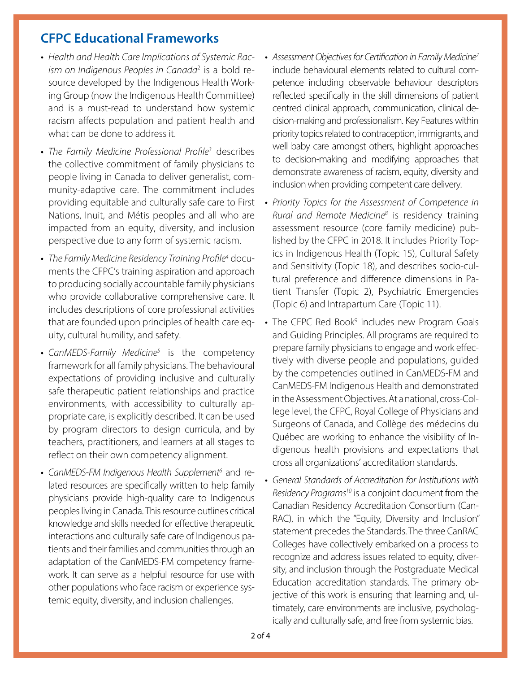# **CFPC Educational Frameworks**

- *Health and Health Care Implications of Systemic Racism on Indigenous Peoples in Canada*<sup>2</sup> is a bold resource developed by the Indigenous Health Working Group (now the Indigenous Health Committee) and is a must-read to understand how systemic racism affects population and patient health and what can be done to address it.
- *The Family Medicine Professional Profile3* describes the collective commitment of family physicians to people living in Canada to deliver generalist, community-adaptive care. The commitment includes providing equitable and culturally safe care to First Nations, Inuit, and Métis peoples and all who are impacted from an equity, diversity, and inclusion perspective due to any form of systemic racism.
- *The Family Medicine Residency Training Profile4* documents the CFPC's training aspiration and approach to producing socially accountable family physicians who provide collaborative comprehensive care. It includes descriptions of core professional activities that are founded upon principles of health care equity, cultural humility, and safety.
- *CanMEDS-Family Medicine5* is the competency framework for all family physicians. The behavioural expectations of providing inclusive and culturally safe therapeutic patient relationships and practice environments, with accessibility to culturally appropriate care, is explicitly described. It can be used by program directors to design curricula, and by teachers, practitioners, and learners at all stages to reflect on their own competency alignment.
- CanMEDS-FM Indigenous Health Supplement<sup>6</sup> and related resources are specifically written to help family physicians provide high-quality care to Indigenous peoples living in Canada. This resource outlines critical knowledge and skills needed for effective therapeutic interactions and culturally safe care of Indigenous patients and their families and communities through an adaptation of the CanMEDS-FM competency framework. It can serve as a helpful resource for use with other populations who face racism or experience systemic equity, diversity, and inclusion challenges.
- *Assessment Objectives for Certification in Family Medicine7* include behavioural elements related to cultural competence including observable behaviour descriptors reflected specifically in the skill dimensions of patient centred clinical approach, communication, clinical decision-making and professionalism. Key Features within priority topics related to contraception, immigrants, and well baby care amongst others, highlight approaches to decision-making and modifying approaches that demonstrate awareness of racism, equity, diversity and inclusion when providing competent care delivery.
- *Priority Topics for the Assessment of Competence in Rural and Remote Medicine8* is residency training assessment resource (core family medicine) published by the CFPC in 2018. It includes Priority Topics in Indigenous Health (Topic 15), Cultural Safety and Sensitivity (Topic 18), and describes socio-cultural preference and difference dimensions in Patient Transfer (Topic 2), Psychiatric Emergencies (Topic 6) and Intrapartum Care (Topic 11).
- The CFPC Red Book<sup>9</sup> includes new Program Goals and Guiding Principles. All programs are required to prepare family physicians to engage and work effectively with diverse people and populations, guided by the competencies outlined in CanMEDS-FM and CanMEDS-FM Indigenous Health and demonstrated in the Assessment Objectives. At a national, cross-College level, the CFPC, Royal College of Physicians and Surgeons of Canada, and Collège des médecins du Québec are working to enhance the visibility of Indigenous health provisions and expectations that cross all organizations' accreditation standards.
- *General Standards of Accreditation for Institutions with Residency Programs10* is a conjoint document from the Canadian Residency Accreditation Consortium (Can-RAC), in which the "Equity, Diversity and Inclusion" statement precedes the Standards. The three CanRAC Colleges have collectively embarked on a process to recognize and address issues related to equity, diversity, and inclusion through the Postgraduate Medical Education accreditation standards. The primary objective of this work is ensuring that learning and, ultimately, care environments are inclusive, psychologically and culturally safe, and free from systemic bias.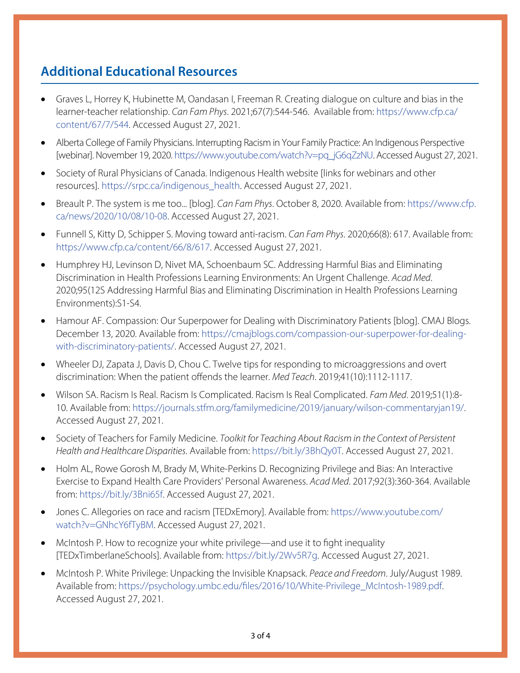# **Additional Educational Resources**

- Graves L, Horrey K, Hubinette M, Oandasan I, Freeman R. Creating dialogue on culture and bias in the learner-teacher relationship. *Can Fam Phys*. 2021;67(7):544-546. Available from: [https://www.cfp.ca/](https://www.cfp.ca/content/67/7/544) [content/67/7/544.](https://www.cfp.ca/content/67/7/544) Accessed August 27, 2021.
- Alberta College of Family Physicians. Interrupting Racism in Your Family Practice: An Indigenous Perspective [webinar]. November 19, 2020. [https://www.youtube.com/watch?v=pq\\_jG6qZzNU](https://www.youtube.com/watch?v=pq_jG6qZzNU). Accessed August 27, 2021.
- Society of Rural Physicians of Canada. Indigenous Health website [links for webinars and other resources]. [https://srpc.ca/indigenous\\_health.](https://srpc.ca/indigenous_health) Accessed August 27, 2021.
- • Breault P. The system is me too... [blog]. *Can Fam Phys*. October 8, 2020. Available from: [https://www.cfp.](https://www.cfp.ca/news/2020/10/08/10-08) [ca/news/2020/10/08/10-08](https://www.cfp.ca/news/2020/10/08/10-08). Accessed August 27, 2021.
- • Funnell S, Kitty D, Schipper S. Moving toward anti-racism. *Can Fam Phys*. 2020;66(8): 617. Available from: <https://www.cfp.ca/content/66/8/617>. Accessed August 27, 2021.
- Humphrey HJ, Levinson D, Nivet MA, Schoenbaum SC. Addressing Harmful Bias and Eliminating Discrimination in Health Professions Learning Environments: An Urgent Challenge. *Acad Med*. 2020;95(12S Addressing Harmful Bias and Eliminating Discrimination in Health Professions Learning Environments):S1-S4.
- Hamour AF. Compassion: Our Superpower for Dealing with Discriminatory Patients [blog]. CMAJ Blogs. December 13, 2020. Available from: [https://cmajblogs.com/compassion-our-superpower-for-dealing](https://cmajblogs.com/compassion-our-superpower-for-dealing-with-discriminatory-patients/)[with-discriminatory-patients/](https://cmajblogs.com/compassion-our-superpower-for-dealing-with-discriminatory-patients/). Accessed August 27, 2021.
- Wheeler DJ, Zapata J, Davis D, Chou C. Twelve tips for responding to microaggressions and overt discrimination: When the patient offends the learner. *Med Teach*. 2019;41(10):1112-1117.
- • Wilson SA. Racism Is Real. Racism Is Complicated. Racism Is Real Complicated. *Fam Med*. 2019;51(1):8- 10. Available from: [https://journals.stfm.org/familymedicine/2019/january/wilson-commentaryjan19/.](https://journals.stfm.org/familymedicine/2019/january/wilson-commentaryjan19/) Accessed August 27, 2021.
- Society of Teachers for Family Medicine. *Toolkit for Teaching About Racism in the Context of Persistent Health and Healthcare Disparities*. Available from: [https://bit.ly/3BhQy0T.](https://bit.ly/3BhQy0T) Accessed August 27, 2021.
- Holm AL, Rowe Gorosh M, Brady M, White-Perkins D. Recognizing Privilege and Bias: An Interactive Exercise to Expand Health Care Providers' Personal Awareness. *Acad Med*. 2017;92(3):360-364. Available from: [https://bit.ly/3Bni65f.](https://bit.ly/3Bni65f) Accessed August 27, 2021.
- Jones C. Allegories on race and racism [TEDxEmory]. Available from: [https://www.youtube.com/](https://www.youtube.com/watch?v=GNhcY6fTyBM) [watch?v=GNhcY6fTyBM.](https://www.youtube.com/watch?v=GNhcY6fTyBM) Accessed August 27, 2021.
- McIntosh P. How to recognize your white privilege—and use it to fight inequality [TEDxTimberlaneSchools]. Available from: [https://bit.ly/2Wv5R7g.](https://bit.ly/2Wv5R7g) Accessed August 27, 2021.
- • McIntosh P. White Privilege: Unpacking the Invisible Knapsack. *Peace and Freedom*. July/August 1989. Available from: [https://psychology.umbc.edu/files/2016/10/White-Privilege\\_McIntosh-1989.pdf.](https://psychology.umbc.edu/files/2016/10/White-Privilege_McIntosh-1989.pdf) Accessed August 27, 2021.